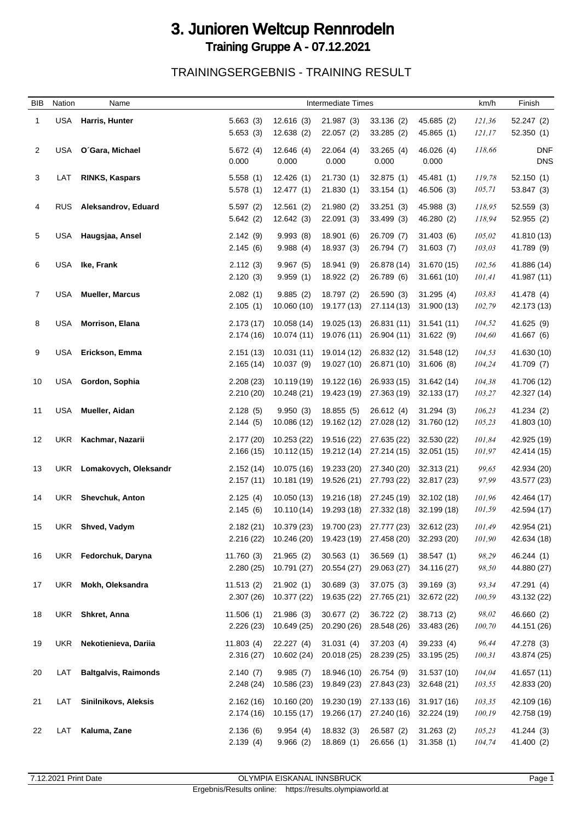## 3. Junioren Weltcup Rennrodeln Training Gruppe A - 07.12.2021

TRAININGSERGEBNIS - TRAINING RESULT

| <b>BIB</b>     | Nation     | Name                        |                         |                                     | <b>Intermediate Times</b>  |                                       |                            | km/h             | Finish                     |
|----------------|------------|-----------------------------|-------------------------|-------------------------------------|----------------------------|---------------------------------------|----------------------------|------------------|----------------------------|
| 1              | USA        | Harris, Hunter              | 5.663(3)                | 12.616(3)                           | 21.987(3)                  | 33.136 (2)                            | 45.685 (2)                 | 121,36           | 52.247 (2)                 |
|                |            |                             | 5.653(3)                | 12.638(2)                           | 22.057(2)                  | 33.285(2)                             | 45.865 (1)                 | 121,17           | 52.350(1)                  |
| 2              |            | USA O'Gara, Michael         | 5.672(4)<br>0.000       | 12.646(4)<br>0.000                  | 22.064(4)<br>0.000         | 33.265(4)<br>0.000                    | 46.026 (4)<br>0.000        | 118,66           | <b>DNF</b><br><b>DNS</b>   |
| 3              | LAT        | <b>RINKS, Kaspars</b>       | 5.558(1)                | 12.426(1)                           | 21.730 (1)                 | 32.875(1)                             | 45.481 (1)                 | 119,78           | 52.150(1)                  |
|                |            |                             | 5.578(1)                | 12.477(1)                           | 21.830(1)                  | 33.154(1)                             | 46.506 (3)                 | 105,71           | 53.847 (3)                 |
| 4              | <b>RUS</b> | Aleksandrov, Eduard         | 5.597(2)<br>5.642(2)    | 12.561(2)<br>12.642(3)              | 21.980(2)<br>22.091 (3)    | 33.251(3)<br>33.499 (3)               | 45.988 (3)<br>46.280 (2)   | 118,95<br>118,94 | 52.559 (3)<br>52.955 (2)   |
| 5              | <b>USA</b> | Haugsjaa, Ansel             | 2.142(9)                | 9.993(8)                            | 18.901 (6)                 | 26.709 (7)                            | 31.403(6)                  | 105,02           | 41.810 (13)                |
|                |            |                             | 2.145(6)                | 9.988(4)                            | 18.937(3)                  | 26.794 (7)                            | 31.603(7)                  | 103,03           | 41.789 (9)                 |
| 6              | <b>USA</b> | Ike, Frank                  | 2.112(3)<br>2.120(3)    | 9.967(5)<br>9.959(1)                | 18.941 (9)<br>18.922 (2)   | 26.878 (14)<br>26.789 (6)             | 31.670 (15)<br>31.661 (10) | 102,56<br>101,41 | 41.886 (14)<br>41.987 (11) |
| $\overline{7}$ | USA        | <b>Mueller, Marcus</b>      | 2.082(1)                | 9.885(2)                            | 18.797 (2)                 | 26.590(3)                             | 31.295(4)                  | 103,83           | 41.478 (4)                 |
|                |            |                             | 2.105(1)                | 10.060 (10)                         | 19.177 (13)                | 27.114 (13)                           | 31.900 (13)                | 102,79           | 42.173 (13)                |
| 8              | USA        | <b>Morrison, Elana</b>      | 2.173(17)<br>2.174(16)  | 10.058 (14)<br>10.074 (11)          | 19.025 (13)<br>19.076 (11) | 26.831 (11)<br>26.904 (11) 31.622 (9) | 31.541 (11)                | 104,52<br>104,60 | 41.625 (9)<br>41.667 (6)   |
| 9              |            |                             |                         |                                     | 19.014 (12)                | 26.832 (12)                           |                            |                  |                            |
|                | USA        | Erickson, Emma              | 2.151(13)<br>2.165(14)  | 10.031 (11)<br>10.037(9)            | 19.027 (10)                | 26.871 (10)                           | 31.548 (12)<br>31.606 (8)  | 104,53<br>104,24 | 41.630 (10)<br>41.709 (7)  |
| 10             | USA        | Gordon, Sophia              | 2.208(23)               | 10.119 (19)                         | 19.122 (16)                | 26.933 (15)                           | 31.642 (14)                | 104,38           | 41.706 (12)                |
|                |            |                             | 2.210(20)               | 10.248 (21)                         | 19.423 (19)                | 27.363 (19)                           | 32.133 (17)                | 103,27           | 42.327 (14)                |
| 11             | USA        | Mueller, Aidan              | 2.128(5)<br>2.144(5)    | 9.950(3)<br>10.086 (12)             | 18.855(5)<br>19.162 (12)   | 26.612 (4)<br>27.028 (12)             | 31.294(3)<br>31.760 (12)   | 106,23<br>105,23 | 41.234 (2)<br>41.803 (10)  |
| 12             | UKR        | Kachmar, Nazarii            | 2.177(20)               | 10.253 (22)                         | 19.516 (22)                | 27.635 (22)                           | 32.530 (22)                | 101,84           | 42.925 (19)                |
|                |            |                             | 2.166(15)               | 10.112 (15)                         | 19.212 (14)                | 27.214 (15)                           | 32.051 (15)                | 101,97           | 42.414 (15)                |
| 13             | UKR.       | Lomakovych, Oleksandr       | 2.152(14)<br>2.157(11)  | 10.075 (16)<br>10.181 (19)          | 19.233 (20)<br>19.526 (21) | 27.340 (20)<br>27.793 (22)            | 32.313 (21)<br>32.817 (23) | 99,65<br>97,99   | 42.934 (20)<br>43.577 (23) |
| 14             | UKR        | <b>Shevchuk, Anton</b>      | 2.125(4)                | 10.050 (13)                         | 19.216 (18)                | 27.245 (19)                           | 32.102 (18)                | 101,96           | 42.464 (17)                |
|                |            |                             | 2.145(6)                | 10.110(14)                          | 19.293 (18)                | 27.332 (18)                           | 32.199 (18)                | 101,59           | 42.594 (17)                |
| 15             | UKR        | Shved, Vadym                | 2.182(21)               | 10.379 (23) 19.700 (23) 27.777 (23) |                            |                                       | 32.612 (23)                | 101,49           | 42.954 (21)                |
|                |            |                             | 2.216(22)               | 10.246 (20)                         | 19.423 (19)                | 27.458 (20)                           | 32.293 (20)                | 101,90           | 42.634 (18)                |
| 16             |            | UKR Fedorchuk, Daryna       | 11.760(3)               | 21.965(2)                           | 30.563(1)                  | 36.569(1)                             | 38.547(1)                  | 98,29            | 46.244 (1)                 |
|                |            |                             | 2.280(25)               | 10.791 (27)                         | 20.554 (27)                | 29.063 (27)                           | 34.116 (27)                | 98,50            | 44.880 (27)                |
| 17             | <b>UKR</b> | Mokh, Oleksandra            | 11.513(2)               | 21.902(1)                           | 30.689(3)                  | 37.075 (3)                            | 39.169(3)                  | 93,34            | 47.291 (4)                 |
|                |            |                             | 2.307(26)               | 10.377 (22)                         | 19.635 (22)                | 27.765 (21)                           | 32.672 (22)                | 100,59           | 43.132 (22)                |
| 18             |            | UKR Shkret, Anna            | 11.506(1)               | 21.986 (3)                          | 30.677(2)                  | 36.722 (2)                            | 38.713 (2)                 | 98,02            | 46.660 (2)                 |
|                |            |                             | 2.226(23)               | 10.649 (25)                         | 20.290 (26)                | 28.548 (26)                           | 33.483 (26)                | 100,70           | 44.151 (26)                |
| 19             | <b>UKR</b> | Nekotienieva, Dariia        | 11.803(4)               | 22.227 (4)                          | 31.031(4)                  | 37.203 (4)                            | 39.233 (4)                 | 96,44            | 47.278 (3)                 |
|                |            |                             | 2.316(27)               | 10.602 (24)                         | 20.018 (25)                | 28.239 (25)                           | 33.195 (25)                | 100,31           | 43.874 (25)                |
| 20             | LAT        | <b>Baltgalvis, Raimonds</b> | 2.140(7)                | 9.985(7)                            | 18.946 (10)                | 26.754 (9)                            | 31.537 (10)                | 104,04           | 41.657 (11)                |
|                |            |                             | 2.248(24)               | 10.586 (23)                         | 19.849 (23)                | 27.843 (23)                           | 32.648 (21)                | 103,55           | 42.833 (20)                |
| 21             | LAT        | <b>Sinilnikovs, Aleksis</b> | 2.162(16)<br>2.174 (16) | 10.160 (20)<br>10.155(17)           | 19.230 (19)<br>19.266 (17) | 27.133 (16)<br>27.240 (16)            | 31.917 (16)<br>32.224 (19) | 103,35<br>100,19 | 42.109 (16)<br>42.758 (19) |
| 22             | LAT        | Kaluma, Zane                | 2.136(6)                | 9.954(4)                            | 18.832(3)                  | 26.587 (2)                            | 31.263(2)                  | 105,23           | 41.244 (3)                 |
|                |            |                             | 2.139(4)                | 9.966(2)                            | 18.869(1)                  | 26.656(1)                             | 31.358(1)                  | 104,74           | 41.400 (2)                 |